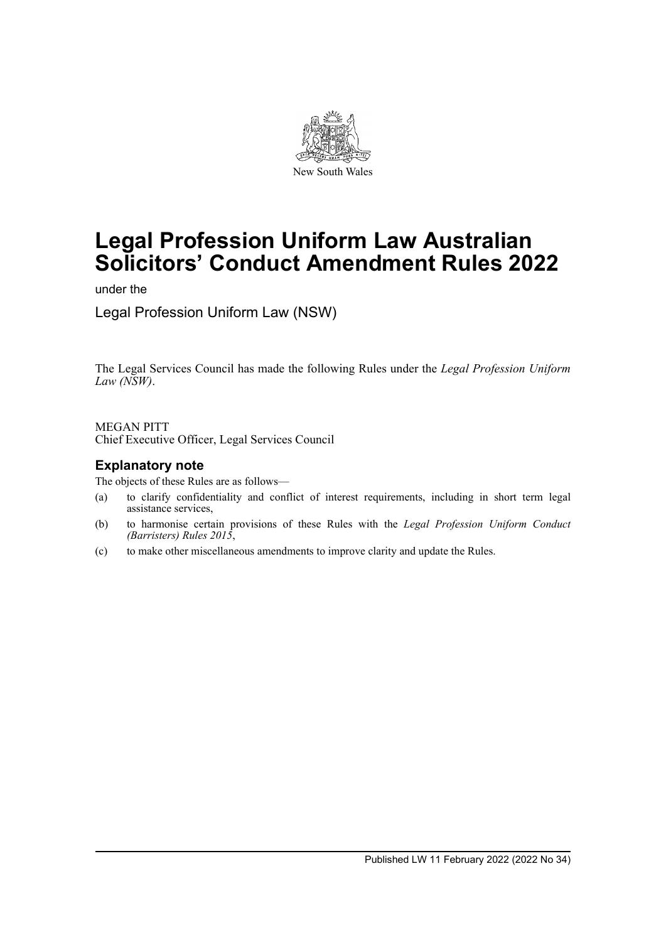

# **Legal Profession Uniform Law Australian Solicitors' Conduct Amendment Rules 2022**

under the

Legal Profession Uniform Law (NSW)

The Legal Services Council has made the following Rules under the *Legal Profession Uniform Law (NSW)*.

MEGAN PITT Chief Executive Officer, Legal Services Council

## **Explanatory note**

The objects of these Rules are as follows—

- (a) to clarify confidentiality and conflict of interest requirements, including in short term legal assistance services,
- (b) to harmonise certain provisions of these Rules with the *Legal Profession Uniform Conduct (Barristers) Rules 2015*,
- (c) to make other miscellaneous amendments to improve clarity and update the Rules.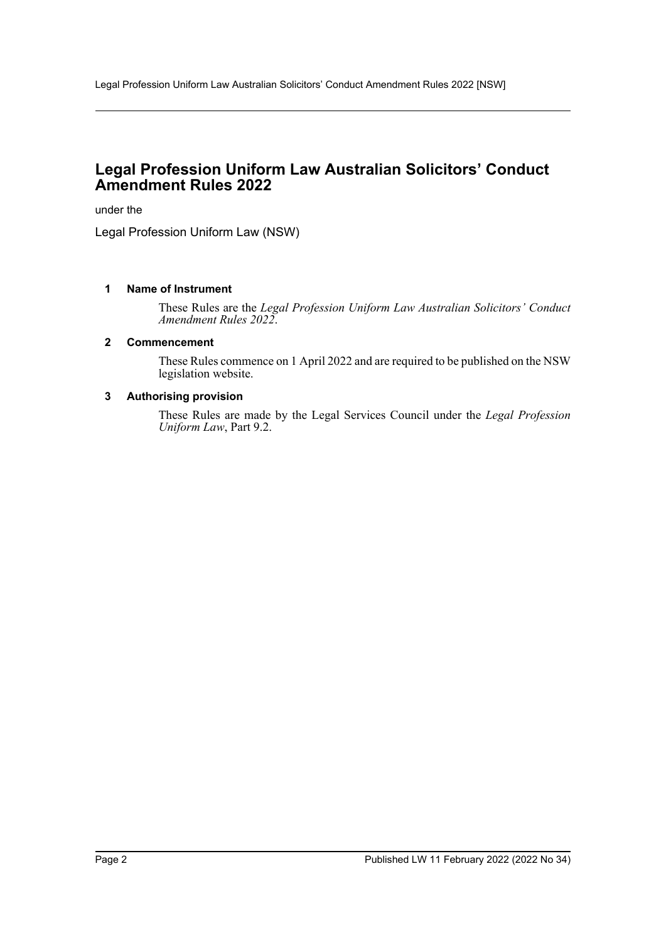# **Legal Profession Uniform Law Australian Solicitors' Conduct Amendment Rules 2022**

under the

Legal Profession Uniform Law (NSW)

## **1 Name of Instrument**

These Rules are the *Legal Profession Uniform Law Australian Solicitors' Conduct Amendment Rules 2022*.

#### **2 Commencement**

These Rules commence on 1 April 2022 and are required to be published on the NSW legislation website.

## **3 Authorising provision**

These Rules are made by the Legal Services Council under the *Legal Profession Uniform Law*, Part 9.2.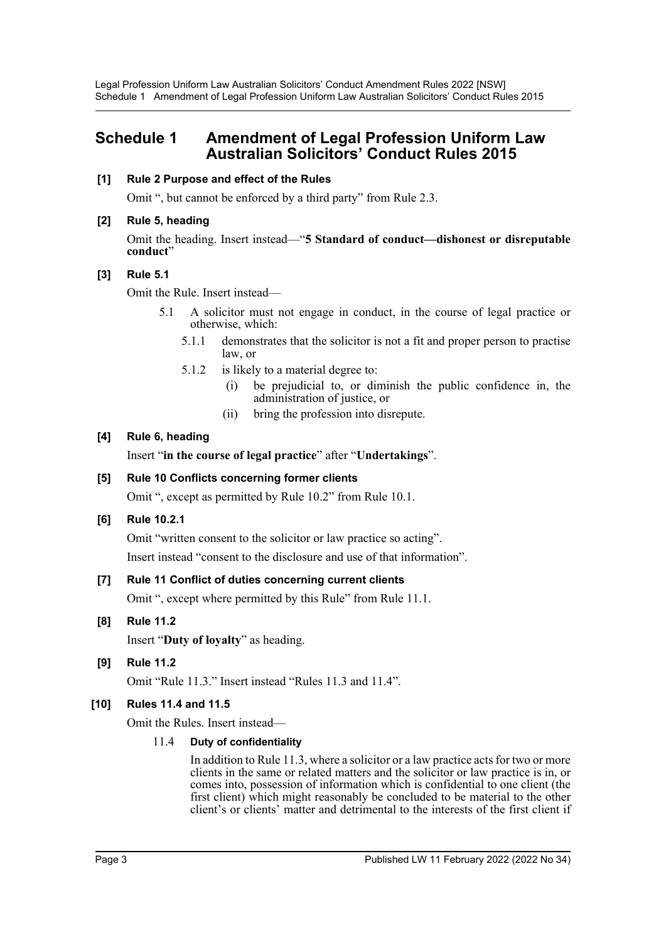# **Schedule 1 Amendment of Legal Profession Uniform Law Australian Solicitors' Conduct Rules 2015**

### **[1] Rule 2 Purpose and effect of the Rules**

Omit ", but cannot be enforced by a third party" from Rule 2.3.

## **[2] Rule 5, heading**

Omit the heading. Insert instead—"**5 Standard of conduct—dishonest or disreputable** conduct"

## **[3] Rule 5.1**

Omit the Rule. Insert instead—

- 5.1 A solicitor must not engage in conduct, in the course of legal practice or otherwise, which:
	- 5.1.1 demonstrates that the solicitor is not a fit and proper person to practise law, or
	- 5.1.2 is likely to a material degree to:
		- (i) be prejudicial to, or diminish the public confidence in, the administration of justice, or
		- (ii) bring the profession into disrepute.

## **[4] Rule 6, heading**

Insert "**in the course of legal practice**" after "**Undertakings**".

## **[5] Rule 10 Conflicts concerning former clients**

Omit ", except as permitted by Rule 10.2" from Rule 10.1.

## **[6] Rule 10.2.1**

Omit "written consent to the solicitor or law practice so acting".

Insert instead "consent to the disclosure and use of that information".

## **[7] Rule 11 Conflict of duties concerning current clients**

Omit ", except where permitted by this Rule" from Rule 11.1.

#### **[8] Rule 11.2**

Insert "**Duty of loyalty**" as heading.

## **[9] Rule 11.2**

Omit "Rule 11.3." Insert instead "Rules 11.3 and 11.4".

## **[10] Rules 11.4 and 11.5**

Omit the Rules. Insert instead—

## 11.4 **Duty of confidentiality**

In addition to Rule 11.3, where a solicitor or a law practice acts for two or more clients in the same or related matters and the solicitor or law practice is in, or comes into, possession of information which is confidential to one client (the first client) which might reasonably be concluded to be material to the other client's or clients' matter and detrimental to the interests of the first client if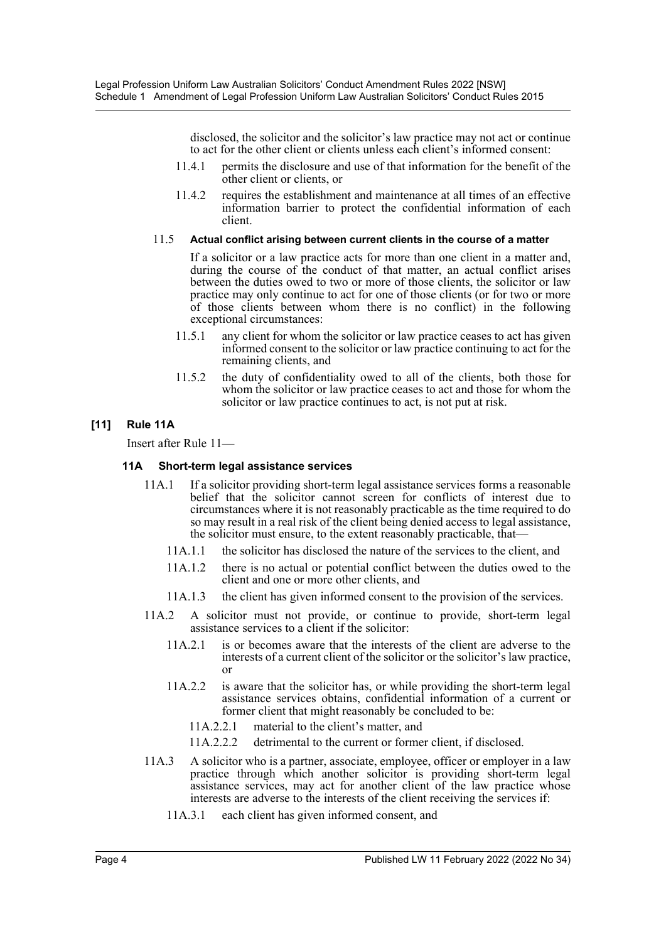disclosed, the solicitor and the solicitor's law practice may not act or continue to act for the other client or clients unless each client's informed consent:

- 11.4.1 permits the disclosure and use of that information for the benefit of the other client or clients, or
- 11.4.2 requires the establishment and maintenance at all times of an effective information barrier to protect the confidential information of each client.

### 11.5 **Actual conflict arising between current clients in the course of a matter**

If a solicitor or a law practice acts for more than one client in a matter and, during the course of the conduct of that matter, an actual conflict arises between the duties owed to two or more of those clients, the solicitor or law practice may only continue to act for one of those clients (or for two or more of those clients between whom there is no conflict) in the following exceptional circumstances:

- 11.5.1 any client for whom the solicitor or law practice ceases to act has given informed consent to the solicitor or law practice continuing to act for the remaining clients, and
- 11.5.2 the duty of confidentiality owed to all of the clients, both those for whom the solicitor or law practice ceases to act and those for whom the solicitor or law practice continues to act, is not put at risk.

## **[11] Rule 11A**

Insert after Rule 11—

## **11A Short-term legal assistance services**

- 11A.1 If a solicitor providing short-term legal assistance services forms a reasonable belief that the solicitor cannot screen for conflicts of interest due to circumstances where it is not reasonably practicable as the time required to do so may result in a real risk of the client being denied access to legal assistance, the solicitor must ensure, to the extent reasonably practicable, that—
	- 11A.1.1 the solicitor has disclosed the nature of the services to the client, and
	- 11A.1.2 there is no actual or potential conflict between the duties owed to the client and one or more other clients, and
	- 11A.1.3 the client has given informed consent to the provision of the services.
- 11A.2 A solicitor must not provide, or continue to provide, short-term legal assistance services to a client if the solicitor:
	- 11A.2.1 is or becomes aware that the interests of the client are adverse to the interests of a current client of the solicitor or the solicitor's law practice, or
	- 11A.2.2 is aware that the solicitor has, or while providing the short-term legal assistance services obtains, confidential information of a current or former client that might reasonably be concluded to be:
		- 11A.2.2.1 material to the client's matter, and
		- 11A.2.2.2 detrimental to the current or former client, if disclosed.
- 11A.3 A solicitor who is a partner, associate, employee, officer or employer in a law practice through which another solicitor is providing short-term legal assistance services, may act for another client of the law practice whose interests are adverse to the interests of the client receiving the services if:
	- 11A.3.1 each client has given informed consent, and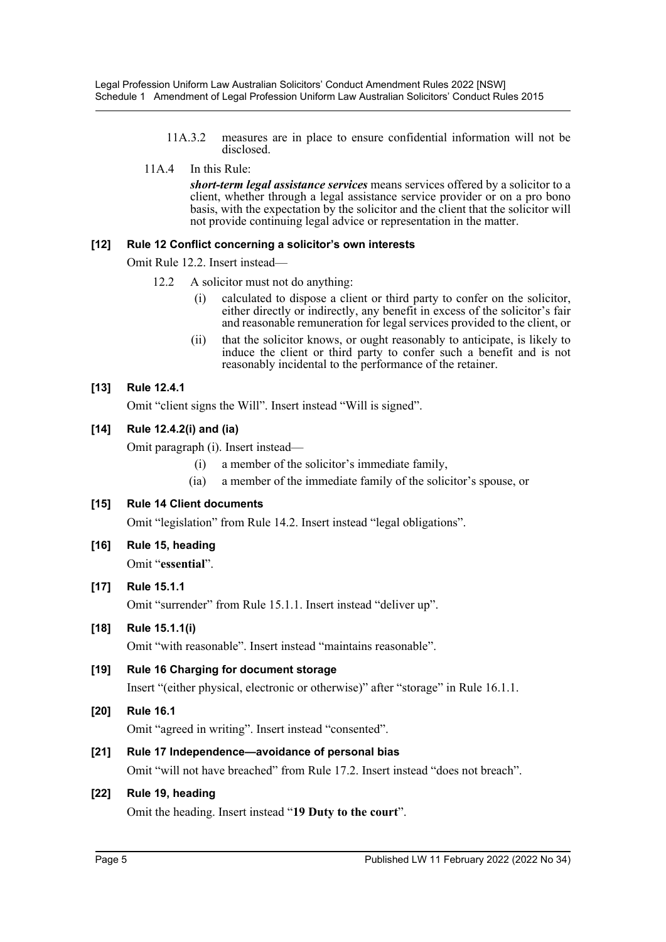- 11A.3.2 measures are in place to ensure confidential information will not be disclosed.
- 11A.4 In this Rule:

*short-term legal assistance services* means services offered by a solicitor to a client, whether through a legal assistance service provider or on a pro bono basis, with the expectation by the solicitor and the client that the solicitor will not provide continuing legal advice or representation in the matter.

## **[12] Rule 12 Conflict concerning a solicitor's own interests**

Omit Rule 12.2. Insert instead—

- 12.2 A solicitor must not do anything:
	- (i) calculated to dispose a client or third party to confer on the solicitor, either directly or indirectly, any benefit in excess of the solicitor's fair and reasonable remuneration for legal services provided to the client, or
	- (ii) that the solicitor knows, or ought reasonably to anticipate, is likely to induce the client or third party to confer such a benefit and is not reasonably incidental to the performance of the retainer.

## **[13] Rule 12.4.1**

Omit "client signs the Will". Insert instead "Will is signed".

## **[14] Rule 12.4.2(i) and (ia)**

Omit paragraph (i). Insert instead—

- (i) a member of the solicitor's immediate family,
- (ia) a member of the immediate family of the solicitor's spouse, or

## **[15] Rule 14 Client documents**

Omit "legislation" from Rule 14.2. Insert instead "legal obligations".

**[16] Rule 15, heading** Omit "**essential**".

## **[17] Rule 15.1.1**

Omit "surrender" from Rule 15.1.1. Insert instead "deliver up".

## **[18] Rule 15.1.1(i)**

Omit "with reasonable". Insert instead "maintains reasonable".

# **[19] Rule 16 Charging for document storage**

Insert "(either physical, electronic or otherwise)" after "storage" in Rule 16.1.1.

## **[20] Rule 16.1**

Omit "agreed in writing". Insert instead "consented".

## **[21] Rule 17 Independence—avoidance of personal bias**

Omit "will not have breached" from Rule 17.2. Insert instead "does not breach".

## **[22] Rule 19, heading**

Omit the heading. Insert instead "**19 Duty to the court**".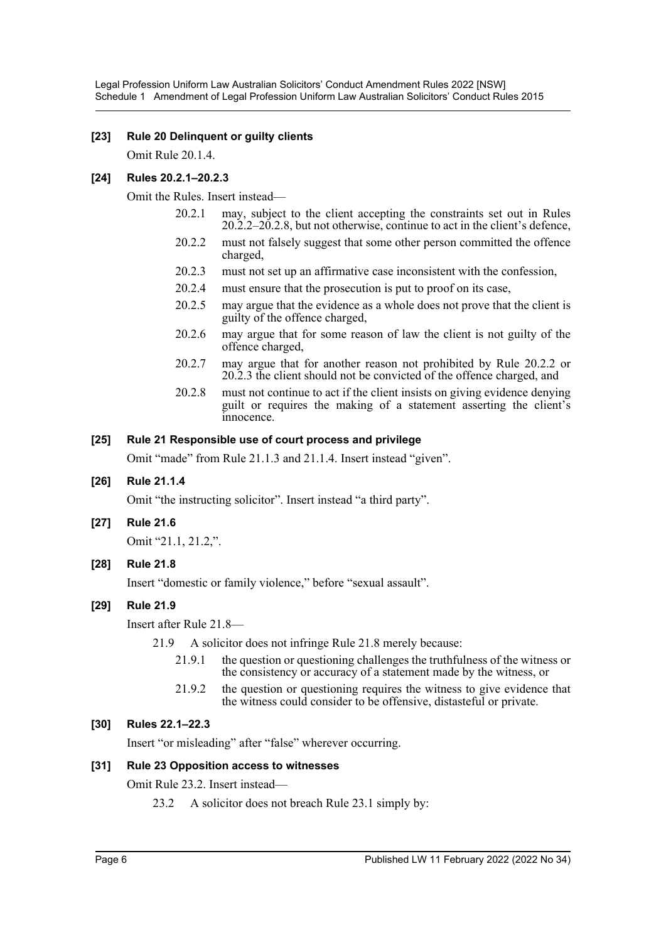## **[23] Rule 20 Delinquent or guilty clients**

Omit Rule 20.1.4.

## **[24] Rules 20.2.1–20.2.3**

Omit the Rules. Insert instead—

- 20.2.1 may, subject to the client accepting the constraints set out in Rules 20.2.2–20.2.8, but not otherwise, continue to act in the client's defence,
- 20.2.2 must not falsely suggest that some other person committed the offence charged,
- 20.2.3 must not set up an affirmative case inconsistent with the confession,
- 20.2.4 must ensure that the prosecution is put to proof on its case,
- 20.2.5 may argue that the evidence as a whole does not prove that the client is guilty of the offence charged,
- 20.2.6 may argue that for some reason of law the client is not guilty of the offence charged,
- 20.2.7 may argue that for another reason not prohibited by Rule 20.2.2 or 20.2.3 the client should not be convicted of the offence charged, and
- 20.2.8 must not continue to act if the client insists on giving evidence denying guilt or requires the making of a statement asserting the client's innocence.

## **[25] Rule 21 Responsible use of court process and privilege**

Omit "made" from Rule 21.1.3 and 21.1.4. Insert instead "given".

## **[26] Rule 21.1.4**

Omit "the instructing solicitor". Insert instead "a third party".

#### **[27] Rule 21.6**

Omit "21.1, 21.2,".

**[28] Rule 21.8**

Insert "domestic or family violence," before "sexual assault".

## **[29] Rule 21.9**

Insert after Rule 21.8—

21.9 A solicitor does not infringe Rule 21.8 merely because:

- 21.9.1 the question or questioning challenges the truthfulness of the witness or the consistency or accuracy of a statement made by the witness, or
- 21.9.2 the question or questioning requires the witness to give evidence that the witness could consider to be offensive, distasteful or private.

## **[30] Rules 22.1–22.3**

Insert "or misleading" after "false" wherever occurring.

#### **[31] Rule 23 Opposition access to witnesses**

Omit Rule 23.2. Insert instead—

23.2 A solicitor does not breach Rule 23.1 simply by: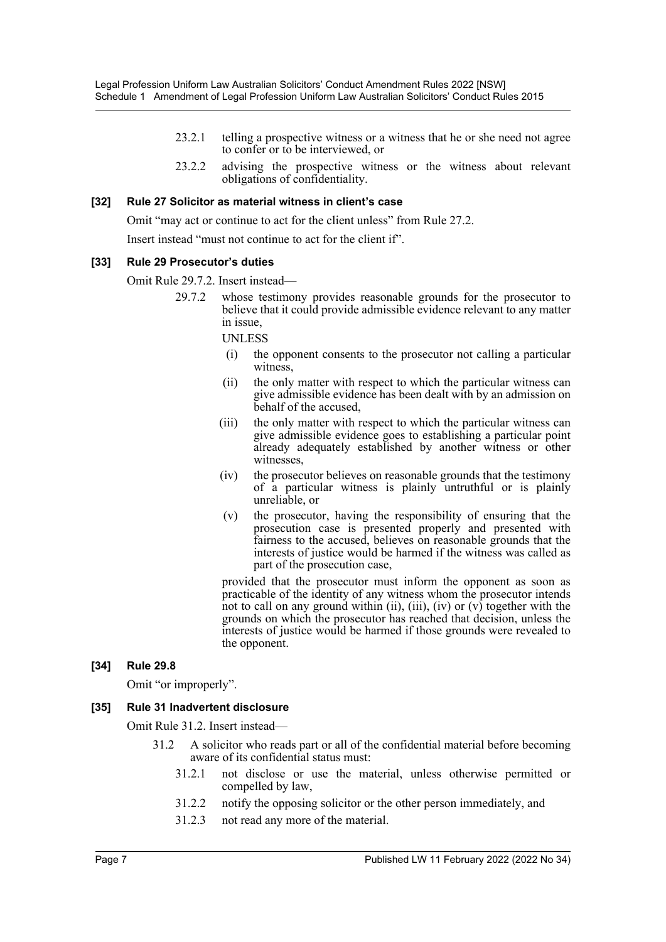- 23.2.1 telling a prospective witness or a witness that he or she need not agree to confer or to be interviewed, or
- 23.2.2 advising the prospective witness or the witness about relevant obligations of confidentiality.

#### **[32] Rule 27 Solicitor as material witness in client's case**

Omit "may act or continue to act for the client unless" from Rule 27.2.

Insert instead "must not continue to act for the client if".

#### **[33] Rule 29 Prosecutor's duties**

Omit Rule 29.7.2. Insert instead—

29.7.2 whose testimony provides reasonable grounds for the prosecutor to believe that it could provide admissible evidence relevant to any matter in issue,

UNLESS

- (i) the opponent consents to the prosecutor not calling a particular witness,
- (ii) the only matter with respect to which the particular witness can give admissible evidence has been dealt with by an admission on behalf of the accused,
- (iii) the only matter with respect to which the particular witness can give admissible evidence goes to establishing a particular point already adequately established by another witness or other witnesses,
- (iv) the prosecutor believes on reasonable grounds that the testimony of a particular witness is plainly untruthful or is plainly unreliable, or
- (v) the prosecutor, having the responsibility of ensuring that the prosecution case is presented properly and presented with fairness to the accused, believes on reasonable grounds that the interests of justice would be harmed if the witness was called as part of the prosecution case,

provided that the prosecutor must inform the opponent as soon as practicable of the identity of any witness whom the prosecutor intends not to call on any ground within (ii), (iii), (iv) or  $(v)$  together with the grounds on which the prosecutor has reached that decision, unless the interests of justice would be harmed if those grounds were revealed to the opponent.

#### **[34] Rule 29.8**

Omit "or improperly".

#### **[35] Rule 31 Inadvertent disclosure**

Omit Rule 31.2. Insert instead—

- 31.2 A solicitor who reads part or all of the confidential material before becoming aware of its confidential status must:
	- 31.2.1 not disclose or use the material, unless otherwise permitted or compelled by law,
	- 31.2.2 notify the opposing solicitor or the other person immediately, and
	- 31.2.3 not read any more of the material.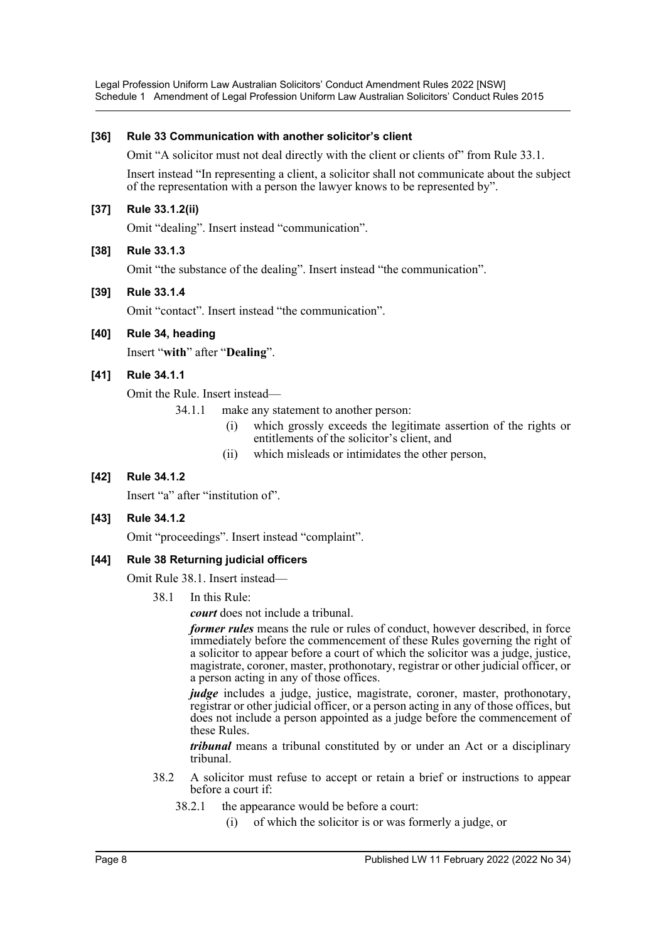#### **[36] Rule 33 Communication with another solicitor's client**

Omit "A solicitor must not deal directly with the client or clients of" from Rule 33.1.

Insert instead "In representing a client, a solicitor shall not communicate about the subject of the representation with a person the lawyer knows to be represented by".

## **[37] Rule 33.1.2(ii)**

Omit "dealing". Insert instead "communication".

## **[38] Rule 33.1.3**

Omit "the substance of the dealing". Insert instead "the communication".

#### **[39] Rule 33.1.4**

Omit "contact". Insert instead "the communication".

**[40] Rule 34, heading**

Insert "**with**" after "**Dealing**".

## **[41] Rule 34.1.1**

Omit the Rule. Insert instead—

34.1.1 make any statement to another person:

- (i) which grossly exceeds the legitimate assertion of the rights or entitlements of the solicitor's client, and
- (ii) which misleads or intimidates the other person,

## **[42] Rule 34.1.2**

Insert "a" after "institution of".

#### **[43] Rule 34.1.2**

Omit "proceedings". Insert instead "complaint".

#### **[44] Rule 38 Returning judicial officers**

Omit Rule 38.1. Insert instead—

38.1 In this Rule:

*court* does not include a tribunal.

*former rules* means the rule or rules of conduct, however described, in force immediately before the commencement of these Rules governing the right of a solicitor to appear before a court of which the solicitor was a judge, justice, magistrate, coroner, master, prothonotary, registrar or other judicial officer, or a person acting in any of those offices.

*judge* includes a judge, justice, magistrate, coroner, master, prothonotary, registrar or other judicial officer, or a person acting in any of those offices, but does not include a person appointed as a judge before the commencement of these Rules.

*tribunal* means a tribunal constituted by or under an Act or a disciplinary tribunal.

- 38.2 A solicitor must refuse to accept or retain a brief or instructions to appear before a court if:
	- 38.2.1 the appearance would be before a court:
		- (i) of which the solicitor is or was formerly a judge, or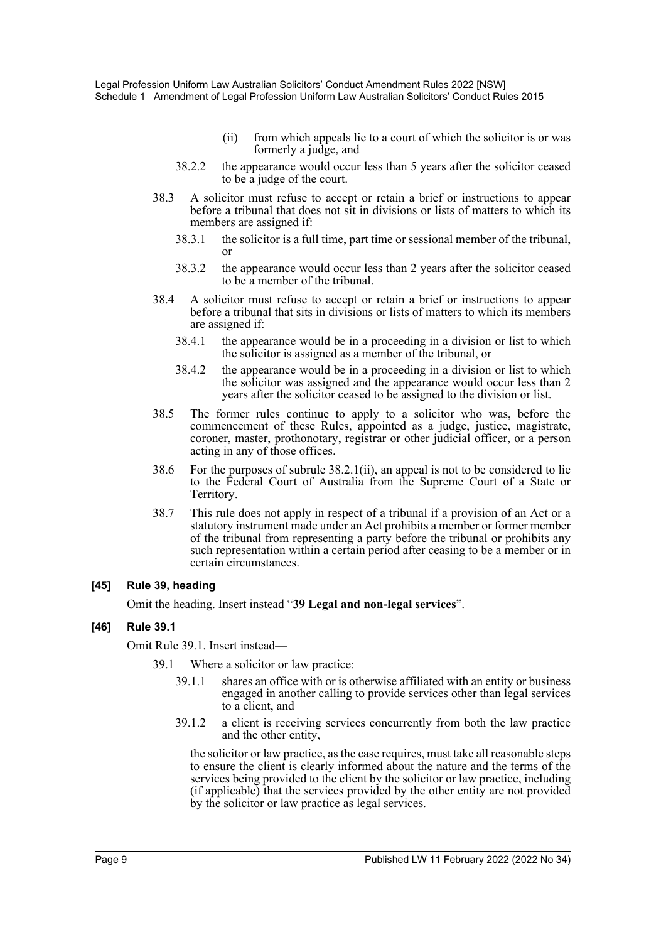- (ii) from which appeals lie to a court of which the solicitor is or was formerly a judge, and
- 38.2.2 the appearance would occur less than 5 years after the solicitor ceased to be a judge of the court.
- 38.3 A solicitor must refuse to accept or retain a brief or instructions to appear before a tribunal that does not sit in divisions or lists of matters to which its members are assigned if:
	- 38.3.1 the solicitor is a full time, part time or sessional member of the tribunal, or
	- 38.3.2 the appearance would occur less than 2 years after the solicitor ceased to be a member of the tribunal.
- 38.4 A solicitor must refuse to accept or retain a brief or instructions to appear before a tribunal that sits in divisions or lists of matters to which its members are assigned if:
	- 38.4.1 the appearance would be in a proceeding in a division or list to which the solicitor is assigned as a member of the tribunal, or
	- 38.4.2 the appearance would be in a proceeding in a division or list to which the solicitor was assigned and the appearance would occur less than 2 years after the solicitor ceased to be assigned to the division or list.
- 38.5 The former rules continue to apply to a solicitor who was, before the commencement of these Rules, appointed as a judge, justice, magistrate, coroner, master, prothonotary, registrar or other judicial officer, or a person acting in any of those offices.
- 38.6 For the purposes of subrule 38.2.1(ii), an appeal is not to be considered to lie to the Federal Court of Australia from the Supreme Court of a State or Territory.
- 38.7 This rule does not apply in respect of a tribunal if a provision of an Act or a statutory instrument made under an Act prohibits a member or former member of the tribunal from representing a party before the tribunal or prohibits any such representation within a certain period after ceasing to be a member or in certain circumstances.

#### **[45] Rule 39, heading**

Omit the heading. Insert instead "**39 Legal and non-legal services**".

## **[46] Rule 39.1**

Omit Rule 39.1. Insert instead—

39.1 Where a solicitor or law practice:

- 39.1.1 shares an office with or is otherwise affiliated with an entity or business engaged in another calling to provide services other than legal services to a client, and
- 39.1.2 a client is receiving services concurrently from both the law practice and the other entity,

the solicitor or law practice, as the case requires, must take all reasonable steps to ensure the client is clearly informed about the nature and the terms of the services being provided to the client by the solicitor or law practice, including (if applicable) that the services provided by the other entity are not provided by the solicitor or law practice as legal services.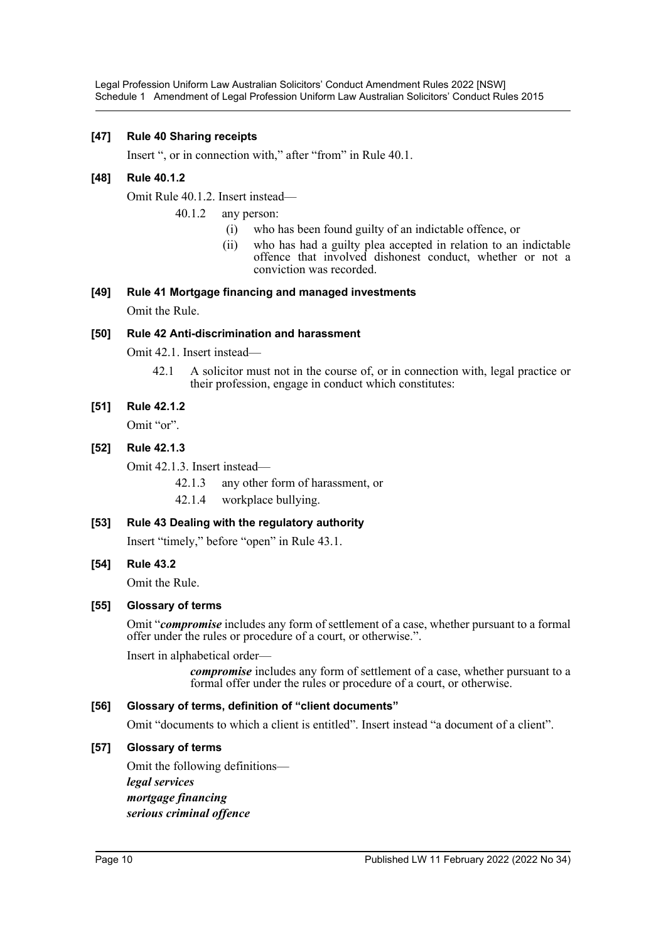#### **[47] Rule 40 Sharing receipts**

Insert ", or in connection with," after "from" in Rule 40.1.

#### **[48] Rule 40.1.2**

Omit Rule 40.1.2. Insert instead—

- 40.1.2 any person:
	- (i) who has been found guilty of an indictable offence, or
	- (ii) who has had a guilty plea accepted in relation to an indictable offence that involved dishonest conduct, whether or not a conviction was recorded.

## **[49] Rule 41 Mortgage financing and managed investments**

Omit the Rule.

#### **[50] Rule 42 Anti-discrimination and harassment**

Omit 42.1. Insert instead—

42.1 A solicitor must not in the course of, or in connection with, legal practice or their profession, engage in conduct which constitutes:

#### **[51] Rule 42.1.2**

Omit "or".

#### **[52] Rule 42.1.3**

Omit 42.1.3. Insert instead—

42.1.3 any other form of harassment, or

42.1.4 workplace bullying.

#### **[53] Rule 43 Dealing with the regulatory authority**

Insert "timely," before "open" in Rule 43.1.

#### **[54] Rule 43.2**

Omit the Rule.

#### **[55] Glossary of terms**

Omit "*compromise* includes any form of settlement of a case, whether pursuant to a formal offer under the rules or procedure of a court, or otherwise.".

Insert in alphabetical order—

*compromise* includes any form of settlement of a case, whether pursuant to a formal offer under the rules or procedure of a court, or otherwise.

### **[56] Glossary of terms, definition of "client documents"**

Omit "documents to which a client is entitled". Insert instead "a document of a client".

#### **[57] Glossary of terms**

Omit the following definitions *legal services mortgage financing serious criminal offence*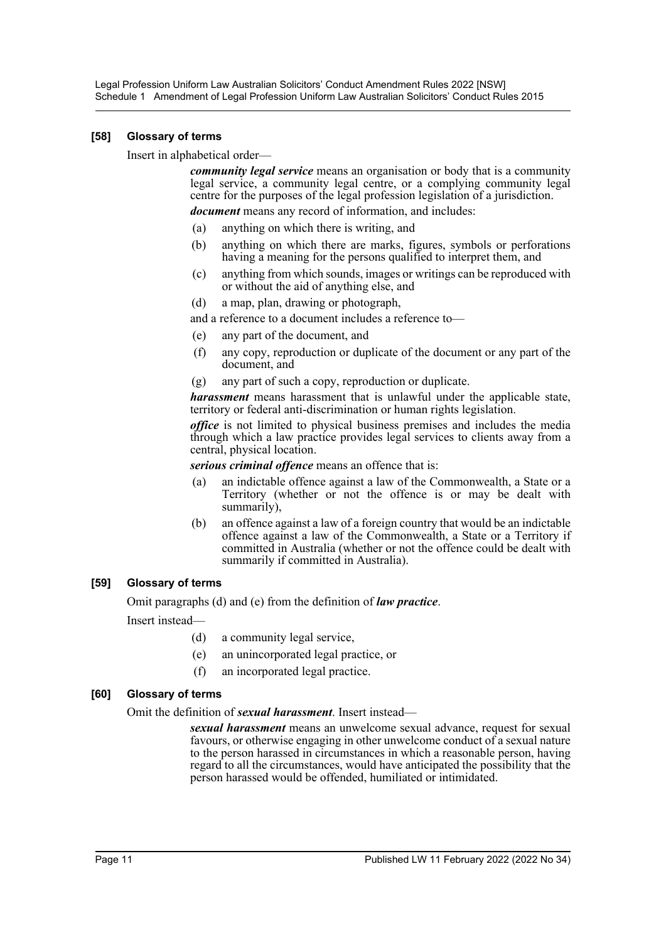### **[58] Glossary of terms**

Insert in alphabetical order—

*community legal service* means an organisation or body that is a community legal service, a community legal centre, or a complying community legal centre for the purposes of the legal profession legislation of a jurisdiction.

*document* means any record of information, and includes:

- (a) anything on which there is writing, and
- (b) anything on which there are marks, figures, symbols or perforations having a meaning for the persons qualified to interpret them, and
- (c) anything from which sounds, images or writings can be reproduced with or without the aid of anything else, and
- (d) a map, plan, drawing or photograph,

and a reference to a document includes a reference to—

- (e) any part of the document, and
- (f) any copy, reproduction or duplicate of the document or any part of the document, and
- (g) any part of such a copy, reproduction or duplicate.

*harassment* means harassment that is unlawful under the applicable state, territory or federal anti-discrimination or human rights legislation.

*office* is not limited to physical business premises and includes the media through which a law practice provides legal services to clients away from a central, physical location.

*serious criminal offence* means an offence that is:

- (a) an indictable offence against a law of the Commonwealth, a State or a Territory (whether or not the offence is or may be dealt with summarily),
- (b) an offence against a law of a foreign country that would be an indictable offence against a law of the Commonwealth, a State or a Territory if committed in Australia (whether or not the offence could be dealt with summarily if committed in Australia).

## **[59] Glossary of terms**

Omit paragraphs (d) and (e) from the definition of *law practice*.

Insert instead—

- (d) a community legal service,
- (e) an unincorporated legal practice, or
- (f) an incorporated legal practice.

#### **[60] Glossary of terms**

Omit the definition of *sexual harassment*. Insert instead—

*sexual harassment* means an unwelcome sexual advance, request for sexual favours, or otherwise engaging in other unwelcome conduct of a sexual nature to the person harassed in circumstances in which a reasonable person, having regard to all the circumstances, would have anticipated the possibility that the person harassed would be offended, humiliated or intimidated.